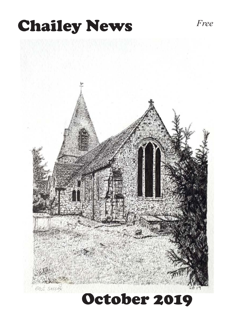# **Chailey News** *Free*

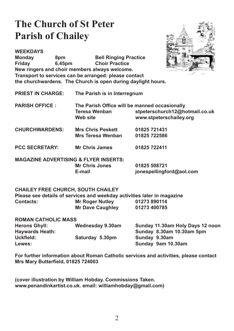# **The Church of St Peter Parish of Chailey**



**WEEKDAYS Monday** 8pm Bell Ringing Practice<br> **Friday** 6.45pm Choir Practice **Choir Practice New ringers and choir members always welcome. Transport to services can be arranged: please contact the churchwardens. The Church is open during daylight hours.**

**PRIEST IN CHARGE: The Parish is in Interregnum**

- **PARISH OFFICE : The Parish Office will be manned occasionally Teresa Wenban** *Stpeterschurch12@hotmail.co.uk*<br>Web site *Well and www.stpeterschailey.org* www.stpeterschailey.org
- **CHURCHWARDENS: Mrs Chris Peskett 01825 721431 Mrs Teresa Wenban**
- **PCC SECRETARY: Mr Chris James 01825 722411**

**MAGAZINE ADVERTISING & FLYER INSERTS: Mr Chris Jones 01825** 508721<br> **E-mail Consepsition** 

 $ionespellingford@aol.com$ 

## **CHAILEY FREE CHURCH, SOUTH CHAILEY**

**Please see details of services and weekday activities later in magazine Contacts: Mr Roger Nutley 01273 890114**<br>Mr Dave Caughley 01273 400785 **Mr Dave Caughley** 

| <b>ROMAN CATHOLIC MASS</b> |                  |                                  |  |
|----------------------------|------------------|----------------------------------|--|
| <b>Herons Ghyll:</b>       | Wednesday 9.30am | Sunday 11.30am Holy Days 12 noon |  |
| <b>Haywards Heath:</b>     |                  | Sunday 8.30am 10.30am 5pm        |  |
| Uckfield:                  | Saturday 5.30pm  | Sunday 9.30am                    |  |
| Lewes:                     |                  | Sunday 9am 10.30am               |  |

**For further information about Roman Catholic services and activities, please contact Mrs Mary Butterfield, 01825 724003**

**(cover illustration by William Hobday. Commissions Taken. www.penandinkartist.co.uk. email: williamhobday@gmail.com)**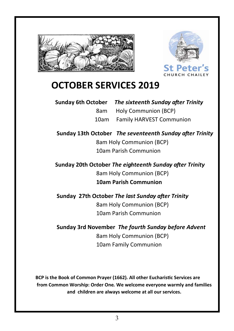



# **OCTOBER SERVICES 2019**

| Sunday 6th October The sixteenth Sunday after Trinity |
|-------------------------------------------------------|
| 8am Holy Communion (BCP)                              |
| 10am Family HARVEST Communion                         |

**Sunday 13th October**  *The seventeenth Sunday after Trinity* 8am Holy Communion (BCP) 10am Parish Communion

**Sunday 20th October The eighteenth Sunday after Trinity** 8am Holy Communion (BCP) **10am Parish Communion** 

**Sunday 27th October The last Sunday after Trinity** 8am Holy Communion (BCP) 10am Parish Communion

## **Sunday 3rd November** *The fourth Sunday before Advent*  8am Holy Communion (BCP)

10am Family Communion

**BCP is the Book of Common Prayer (1662)***.* **All other EucharisƟc Services are from Common Worship: Order One***.* **We welcome everyone warmly and families and children are always welcome at all our services.**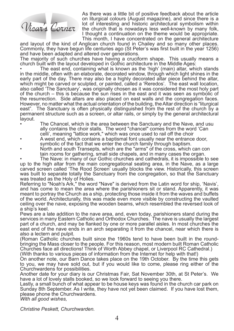

As there was a little bit of positive feedback about the article on liturgical colours (August magazine), and since there is a lot of interesting and historic architectural symbolism within the church that is nowadays less well-known by many folk, I thought a continuation on the theme would be appropriate. This month, I have concentrated on the general architecture

and layout of the kind of Anglican church found in Chailey and so many other places. Commonly, they have begun life centuries ago (St Peter's was first built in the year 1256) and have been adapted and altered over generations.

The majority of such churches have having a cruciform shape. This usually means a church built with the layout developed in Gothic architecture in the Middle Ages:

• The east end, containing what is known as the 'high' (main) altar, which stands in the middle, often with an elaborate, decorated window, through which light shines in the early part of the day. There may also be a highly decorated altar piece behind the altar, which might be carved or sculpted, or painted, called a 'Reredos'. The east wall location, also called 'The Sanctuary', was originally chosen as it was considered the most holy part of the church – this is because the sun rises in the east and it was seen as symbolic of the resurrection. Side altars are also placed on east walls and the congregation faces. However, no matter what the actual orientation of the building, the Altar direction is "liturgical east". The Sanctuary is often physically distinguished from the rest of the church by a permanent structure such as a screen, or altar rails, or simply by the general architectural layout.

- The Chancel, which is the area between the Sanctuary and the Nave, and usu ally contains the choir stalls. The word "chancel" comes from the word 'Can celli', meaning "lattice work," which was once used to rail off the choir
- A west end, which contains a baptismal font usually near the entrance door, symbolic of the fact that we enter the church family through baptism.
- North and south Transepts, which are the "arms" of the cross, which can contain rooms for gathering, small side chapels, and in many cases the organ.

The Nave: in many of our Gothic churches and cathedrals, it is impossible to see up to the high altar from the main congregational seating area, in the Nave, as a large carved screen called 'The Rood Screen' usually blocks the view. Historically, this screen was built to separate totally the Sanctuary from the congregation, so that the Sanctuary was treated as the Holy of Holies.

Referring to "Noah's Ark," the word "Nave" is derived from the Latin word for ship, 'Navis', and has come to mean the area where the parishioners sit or stand. Apparently, it was meant to portray the Church as a ship, protecting those inside it from the waves and buffets of the world. Architecturally, this was made even more visible by constructing the vaulted ceiling over the nave, exposing the wooden beams, which resembled the reversed look of a ship's keel.

Pews are a late addition to the nave area, and, even today, parishioners stand during the services in many Eastern Catholic and Orthodox Churches. The nave is usually the largest part of a church, and may be flanked by one or more parallel aisles. In most churches the east end of the nave ends in an arch separating it from the chancel, near which there is also a lectern and pulpit.

(Roman Catholic churches built since the 1960s tend to have been built in the roundbringing the Mass closer to the people. For this reason, most modern built Roman Catholic Churches face all directions! Think of Worth Abbey chapel, or Liverpool RC Cathedral.) (With thanks to various pieces of information from the Internet for help with that!)

On another note, our Barn Dance takes place on the 19th October. By the time this gets to you, we may have sold out, but if you would like to come, please ring either of the Churchwardens for possibilities.

Another date for your diary is our Christmas Fair, Sat November 30th, at St Peter's. We have a lot of lovely stalls booked, so we look forward to seeing you there.

Lastly, a small bunch of what appear to be house keys was found in the church car park on Sunday 8th September. As I write, they have not yet been claimed. If you have lost them, please phone the Churchwardens.

*With all good wishes,* 

*Christine Peskett, Churchwarden.*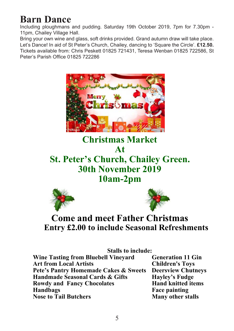# **Barn Dance**

Including ploughmans and pudding. Saturday 19th October 2019, 7pm for 7.30pm - 11pm, Chailey Village Hall.

Bring your own wine and glass, soft drinks provided. Grand autumn draw will take place. Let's Dance! In aid of St Peter's Church, Chailey, dancing to 'Square the Circle'. **£12.50.** Tickets available from: Chris Peskett 01825 721431, Teresa Wenban 01825 722586, St Peter's Parish Office 01825 722286



**Christmas Market At St. Peter's Church, Chailey Green. 30th November 2019 10am-2pm**   $\overline{\mathbf{A}}$ **St.** Peter Church, Chainey Green. **A**t at<br>20th Chailey Iturui, Cha<br>November *(* 





## **Come and meet Father Christmas Entry £2.00 to include Seasonal Refreshments Entry £2.00 to include Seasonal Refreshments**

**Stalls to include: Pete's Pantry Homemade Cakes & Sweets Deersview Chutneys Art From Local Artists Cards & Gifts** Hayley's Fudge **Handmade Seasonal Cards & Gifts Peter's Pancy Chocolates Band Knitted items Handbags Face painting Wine Tasting from Bluebell Vineyard Generation 11 G<br>Art from Local Artists Children's Toys** Art from Local Artists<br> **Pete's Pantry Homemade Cakes & Sweets** Deersview Chutneys **Handbags Face painting Nose to Tail Butchers** Many other stalls

**Many other stalls Stalls to include:**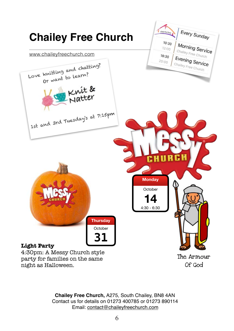

**Chailey Free Church,** A275, South Chailey, BN8 4AN Contact us for details on 01273 400785 or 01273 890114 Email: contact@chaileyfreechurch.com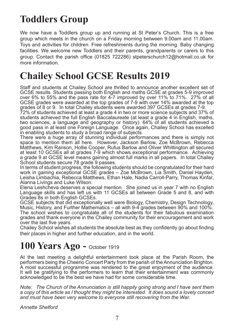# **Toddlers Group**

We now have a Toddlers group up and running at St Peter's Church. This is a free group which meets in the church on a Friday morning between 9.00am and 11.00am. Toys and activities for children. Free refreshments during the morning. Baby changing facilities. We welcome new Toddlers and their parents, grandparents or carers to this group. Contact the parish office (01825 722286) stpeterschurch12@hotmail.co.uk for more information.

# **Chailey School GCSE Results 2019**

Staff and students at Chailey School are thrilled to announce another excellent set of GCSE results. Students passing both English and maths GCSE at grades 5-9 improved over 6% to 55% and the pass rate for 4-7 improved by over 11% to 71%. 27% of all GCSE grades were awarded at the top grades of 7-9 with over 14% awarded at the top grades of 8 or 9. In total Chailey students were awarded 397 GCSEs at grades 7-9.

72% of students achieved at least a grade 4 in two or more science subjects and 37% of students achieved the full English Baccalaureate (at least a grade 4 in English, maths, two sciences, a language and geography or history). 64% of all students achieved a good pass in at least one Foreign Language. Once again, Chailey School has excelled in enabling students to study a broad range of subjects.

There were a huge array of stunning individual performances and there is simply not space to mention them all here. However, Jackson Barlow, Zoe McBrown, Rebecca Matthews, Kim Ranson, Hollie Cooper, Rufus Barlow and Oliver Whittington all secured at least 10 GCSEs all at grades 7-9 which shows exceptional performance. Achieving a grade 9 at GCSE level means gaining almost full marks in all papers. In total Chailey School students secure 78 grade 9 passes.

In terms of student progress, the following students should be congratulated for their hard work in gaining exceptional GCSE grades – Zoe McBrown, Lia Smith, Daniel Hayden, Leisha Limbachia, Rebecca Matthews, Ethan Hale, Nadia Carroll-Parry, Thomas Kinfar, Alanna Livings and Luke Wilson.

Elena Leshcheva deserves a special mention. She joined us in year 7 with no English Language skills and has left us with 11 GCSEs all between Grade 5 and 8, and with Grades 8s in both English GCSEs.

GCSE subjects that did exceptionally well were Biology, Chemistry, Design Technology, Music, History, and Further Mathematics – all with 9-4 grades between 90% and 100%. The school wishes to congratulate all of the students for their fabulous examination grades and thank everyone in the Chailey community for their encouragement and work over the last five years.

Chailey School wishes all students the absolute best as they confidently go about finding their places in higher and further education, and in the world.

# **100 Years Ago -** October 1919

At the last meeting a delightful entertainment took place at the Parish Room, the performers being the Cheerio Concert Party from the parish of the Annunciation Brighton. A most successful programme was rendered to the great enjoyment of the audience. It will be gratifying to the performers to learn that their entertainment was commonly acknowledged to be the best we have had for some considerable time.

*Note: The Church of the Annunciation is still happily going strong and I have sent them a copy of this article as I thought they might be interested. It does sound a lovely concert and must have been very welcome to everyone still recovering from the War.*

*Annette Shelford*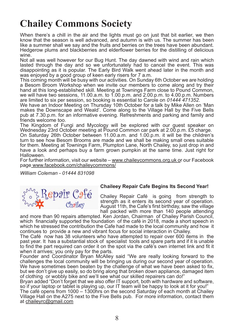# **Chailey Commons Society**

When there's a chill in the air and the lights must go on just that bit earlier, we then know that the season is well advanced, and autumn is with us. The summer has been like a summer shall we say and the fruits and berries on the trees have been abundant. Hedgerow plums and blackberries and elderflower berries for the distilling of delicious wine.

Not all was well however for our Bug Hunt. The day dawned with wind and rain which lasted through the day and so we unfortunately had to cancel the event. This was disappointing as it is popular. The Early Bird Walk went ahead later in the month and was enjoyed by a good group of keen early risers for 7 a.m.

This coming month will be busy with our activities. On Sunday 6th October we are holding a Besom Broom Workshop when we invite our members to come along and try their hand at this long-established skill. Meeting at Townings Farm close to Pound Common, we will have two sessions, 11.00.a.m. to 1.00.p.m. and 2.00.p.m. to 4.00.p.m. Numbers are limited to six per session, so booking is essential to Carole on *01444 471352.*

We have an Indoor Meeting on Thursday 10th October for a talk by Mike Allen on 'Man makes the Downscape and Weald'. Come along to the Village Hall by the Five Bells pub at 7.30.p.m. for an informative evening. Refreshments and parking and family and friends welcome too.

The Kingdom of Fungi and Mycology will be explored with our guest speaker on Wednesday 23rd October meeting at Pound Common car park at 2.00.p.m. £5 charge.

On Saturday 26th October between 11.00.a.m. and 1.00.p.m. it will be the children's turn to see how Besom Brooms are made and we shall be making small ones suitable for them. Meeting at Townings Farm, Plumpton Lane, North Chailey, so just drop in and have a look and perhaps buy a farm grown pumpkin at the same time. Just right for Halloween.

For further information, visit our website – www.chaileycommons.org.uk or our Facebook page www.facebook.com/chaileycommons/

*William Coleman - 01444 831098*



## **Chaileey Repair Cafe Begins Its Second Year!**

Chailey Repair Café is going from strength to strength as it enters its second year of operation. August 11th, the Cafe's first birthday, saw the village hall packed with more than 140 people attending

and more than 90 repairs attempted. Ken Jordan, Chairman of Chailey Parish Council, which financially supported the foundation of the café in 2018, made a short speech in which he stressed the contribution the Cafe had made to the local community and how it continues to provide a new and vibrant focus for social interaction in Chailey.

The Café now has 38 volunteers who have attempted to repair over 600 items in the past year. It has a substantial stock of specialist tools and spare parts and if it is unable to find the part required can order it on the spot via the café's own internet link and fit it when it arrives; you only pay for the parts.

Founder and Coordinator Bryan McAlley said "We are really looking forward to the challenges the local community will be bringing us during our second year of operation. We have sometimes been beaten by the challenge of what we have been asked to fix, but we don't give up easily, so do bring along that broken down appliance, damaged item of clothing or wobbly bike and we'll see what our skilled repairers can do!"

Bryan added "Don't forget that we also offer IT support, both with hardware and software, so if your laptop or tablet is playing up, our IT team will be happy to look at it for you!"

The café opens from 1000 – 1300hrs on the second Saturday of each month at Chailey Village Hall on the A275 next to the Five Bells pub. For more information, contact them at chaileyrc@gmail.com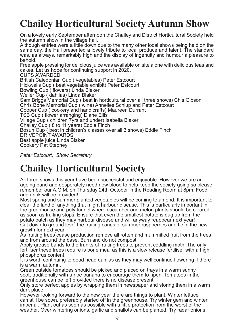# **Chailey Horticultural Society Autumn Show**

On a lovely early September afternoon the Chailey and District Horticultural Society held the autumn show in the village hall.

Although entries were a little down due to the many other local shows being held on the same day, the Hall presented a lovely tribute to local produce and talent. The standard was, as always, remarkably high and the display of ingenuity and humour a pleasure to behold.

Free apple pressing for delicious juice was available on site alone with delicious teas and cakes. Let us hope for continuing support in 2020. CUPS AWARDED

British Caledonian Cup ( vegetables) Peter Estcourt Hickwells Cup ( best vegetable exhibit) Peter Estcourt Bowling Cup ( flowers) Linda Blaker Weller Cup ( dahlias) Linda Blaker Sam Briggs Memorial Cup ( best in horticultural over all three shows) Chis Gibson Chris Bone Memorial Cup ( wine) Annelies Schlup and Peter Estcourt Cooper Cup ( cookery and handicrafts) Maureen Durrant TSB Cup ( flower arranging) Diane Ellis Village Cup ( children 7yrs and under) Isabella Blaker Chailey Cup ( 8 to 11 years) Eddie Finch Bosun Cup ( best in children's classes over all 3 shows) Eddie Finch DRIVEPOINT AWARDS Best apple juice Linda Blaker Cookery Pat Stepney

*Peter Estcourt. Show Secretary*

# **Chailey Horticultural Society**

All three shows this year have been successful and enjoyable. However we are an ageing band and desperately need new blood to help keep the society going so please remember our A.G.M. on Thursday 24th October in the Reading Room at 8pm. Food and drink will be provided!

Most spring and summer planted vegetables will be coming to an end. It is important to clear the land of anything that might harbour disease. This is particularly important in the greenhouse and poly tunnel where cucumber and melon plants should be cleared as soon as fruiting stops. Ensure that even the smallest potato is dug up from the potato patch as they may harbour disease and will anyway reappear next year! Cut down to ground level the fruiting canes of summer raspberries and tie in the new growth for next year.

As fruiting trees cease production remove all rotten and mummified fruit from the trees and from around the base. Burn and do not compost.

Apply grease bands to the trunks of fruiting trees to prevent coddling moth. The only fertiliser these trees require is bone meal as this is a slow release fertiliser with a high phosphorus content.

It is worth continuing to dead head dahlias as they may well continue flowering if there is a warm autumn.

Green outside tomatoes should be picked and placed on trays in a warm sunny spot, traditionally with a ripe banana to encourage them to ripen. Tomatoes in the greenhouse can be left provided there is no disease present.

Only store perfect apples by wrapping them in newspaper and storing them in a warm dark place.

However looking forward to the new year there are things to plant. Winter lettuce can still be sown, preferably started off in the greenhouse. Try winter gem and winter imperial. Plant out as soon as possible with a little protection from the worst of the weather. Over wintering onions, garlic and shallots can be planted. Try radar onions,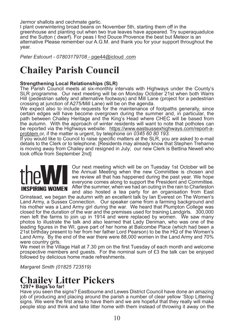Jermor shallots and cechmate garlic.

I plant overwintering broad beans on November 5th, starting them off in the greenhouse and planting out when two true leaves have appeared. Try superaquadulce and the Sutton ( dwarf). For peas I find Douce Provence the best but Meteor is an alternative Please remember our A.G.M. and thank you for your support throughout the year.

*Peter Estcourt - 07803179708* - pge44@icloud .com

# **Chailey Parish Council**

### **Strengthening Local Relationships (SLR)**

The Parish Council meets at six-monthly intervals with Highways under the County's SLR programme. Our next meeting will be on Monday October 21st when both Warrs Hill (pedestrian safety and alternative footways) and Mill Lane (project for a pedestrian crossing at junction of A275/Mill Lane) will be on the agenda.

We expect also to include requests for the maintenance of footpaths generally, since certain edges will have become overgrown during the summer and, in particular, the path between Chailey Heritage and the King's Head where CHEC will be based from the autumn. With the approach of winter residents will want to note that potholes can be reported via the Highways website: https://www.eastsussexhighways.com/report-aproblem or, if the matter is urgent, by telephone on *0345 60 80 193.*

If you would like to Council to raise specific matters at the SLR, you are asked to e-mail details to the Clerk or to telephone. [Residents may already know that Stephen Treharne is moving away from Chailey and resigned in July; our new Clerk is Bettina Newell who took office from September 2nd]



Our next meeting which will be on Tuesday 1st October will be the Annual Meeting when the new Committee is chosen and we review all that has happened during the past year. We hope everyone comes along to support the President and Committee. **INSPIRING WOMEN** After the summer, when we had an outing in the rain to Charleston and also hosted a tea party for an organisation from East

Grinstead, we began the autumn with an excellent talk by Ian Everest on The Women's Land Army, a Sussex Connection. Our speaker came from a farming background and his mother was a Land Army girl during the war. We heard that Plumpton College was closed for the duration of the war and the premises used for training Landgirls. 300,000 men left the farms to join up in 1914 and were replaced by women. We saw many photos to illustrate the talk and also learned that Lady Denman, who was one of the leading figures in the WI, gave part of her home at Balcombe Place (which had been a 21st birthday present to her from her father Lord Pearson) to be the HQ of the Women's Land Army. By the end of the war there were 88,000 women in the Land Army and 70% were country girls.

We meet in the Village Hall at 7.30 pm on the first Tuesday of each month and welcome prospective members and guests. For the nominal sum of  $£3$  the talk can be enjoyed followed by delicious home made refreshments.

*Margaret Smith (01825 723519)*

# **Chailey Litter Pickers**

## **1297+ Bags so far!**

Have you seen the signs? Eastbourne and Lewes District Council have done an amazing job of producing and placing around the parish a number of clear yellow 'Stop Littering' signs. We were the first area to have them and we are hopeful that they really will make people stop and think and take litter home with them instead of throwing it away on the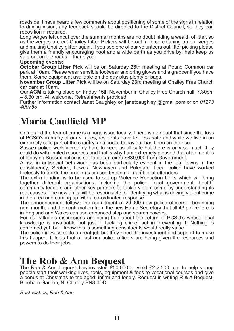roadside. I have heard a few comments about positioning of some of the signs in relation to driving vision; any feedback should be directed to the District Council, so they can reposition if required.

Long verges left uncut over the summer months are no doubt hiding a wealth of litter, so as the verges are cut Chailey Litter Pickers will be out in force cleaning up our verges and making Chailey glitter again. If you see one of our volunteers out litter picking please give them a friendly encouraging hoot and a wide berth as you drive by; help keep us safe out on the roads – thank you.

#### **Upcoming events:**

**October Group Litter Pick** will be on Saturday 26th meeting at Pound Common car park at 10am. Please wear sensible footwear and bring gloves and a grabber if you have them. Some equipment available on the day plus plenty of bags.

**November Group Litter Pick** will be on Saturday 23rd meeting at Chailey Free Church car park at 10am.

Our **AGM** is taking place on Friday 15th November in Chailey Free Church hall, 7.30pm – 8.30 pm. All welcome. Refreshments provided.

Further information contact Janet Caughley on janetcaughley @gmail.com or on *01273 400785*

## **Maria Caulfield MP**

Crime and the fear of crime is a huge issue locally. There is no doubt that since the loss of PCSO's in many of our villages, residents have felt less safe and while we live in an extremely safe part of the country, anti-social behaviour has been on the rise.

Sussex police work incredibly hard to keep us all safe but there is only so much they could do with limited resources and that is why I am extremely pleased that after months of lobbying Sussex police is set to get an extra £880,000 from Government.

A rise in antisocial behaviour has been particularly evident in the four towns in the constituency; Seaford, Lewes, Newhaven and Polegate. Local police have worked tirelessly to tackle the problems caused by a small number of offenders.

The extra funding is to be used to set up Violence Reduction Units which will bring together different organisations, including the police, local government, health, community leaders and other key partners to tackle violent crime by understanding its root causes. The new units will be responsible for identifying what is driving violent crime in the area and coming up with a co-ordinated response.

The announcement follows the recruitment of 20,000 new police officers – beginning next month, and the confirmation from the new Home Secretary that all 43 police forces in England and Wales can use enhanced stop and search powers.

For our village's discussions are being had about the return of PCSO's whose local knowledge is invaluable not just in tackling crime, but in preventing it. Nothing is confirmed yet, but I know this is something constituents would really value.

The police in Sussex do a great job but they need the investment and support to make this happen. It feels that at last our police officers are being given the resources and powers to do their jobs.

## **The Rob & Ann Bequest**

The Rob & Ann bequest has invested £50,000 to yield £2-2,500 p.a. to help young people start their working lives, tools, equipment & fees to vocational courses and give a bonus at Christmas to the aged, infirm and lonely. Request in writing R & A Bequest, Bineham Garden, N. Chailey BN8 4DD

*Best wishes, Rob & Ann*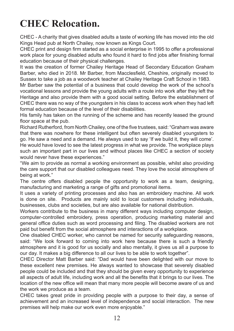# **CHEC Relocation.**

CHEC - A charity that gives disabled adults a taste of working life has moved into the old Kings Head pub at North Chailey, now known as Kings Court.

CHEC print and design firm started as a social enterprise in 1995 to offer a professional work place for young disabled adults who found it hard to find jobs after finishing formal education because of their physical challenges.

It was the creation of former Chailey Heritage Head of Secondary Education Graham Barber, who died in 2018. Mr Barber, from Macclesfield, Cheshire, originally moved to Sussex to take a job as a woodwork teacher at Chailey Heritage Craft School in 1983.

Mr Barber saw the potential of a business that could develop the work of the school's vocational lessons and provide the young adults with a route into work after they left the Heritage and also provide them with a good social setting. Before the establishment of CHEC there was no way of the youngsters in his class to access work when they had left formal education because of the level of their disabilities.

His family has taken on the running of the scheme and has recently leased the ground floor space at the pub.

Richard Rutherford, from North Chailey, one of the five trustees, said: "Graham was aware that there was nowhere for these intelligent but often severely disabled youngsters to go. He saw a need and a demand. He always used to say 'If we build it, they will come'. He would have loved to see the latest progress in what we provide. The workplace plays such an important part in our lives and without places like CHEC a section of society would never have these experiences."

"We aim to provide as normal a working environment as possible, whilst also providing the care support that our disabled colleagues need. They love the social atmosphere of being at work."

The centre offers disabled people the opportunity to work as a team, designing, manufacturing and marketing a range of gifts and promotional items.

It uses a variety of printing processes and also has an embroidery machine. All work is done on site. Products are mainly sold to local customers including individuals, businesses, clubs and societies, but are also available for national distribution.

Workers contribute to the business in many different ways including computer design, computer-controlled embroidery, press operation, producing marketing material and general office duties such as word processing and filing. The disabled workers are not paid but benefit from the social atmosphere and interactions of a workplace.

One disabled CHEC worker, who cannot be named for security safeguarding reasons, said: "We look forward to coming into work here because there is such a friendly atmosphere and it is good for us socially and also mentally, it gives us all a purpose to our day. It makes a big difference to all our lives to be able to work together".

CHEC Director Matt Barber said: "Dad would have been delighted with our move to these excellent new premises. He always wanted to showcase that severely disabled people could be included and that they should be given every opportunity to experience all aspects of adult life, including work and all the benefits that it brings to our lives. The location of the new office will mean that many more people will become aware of us and the work we produce as a team.

CHEC takes great pride in providing people with a purpose to their day, a sense of achievement and an increased level of independence and social interaction. The new premises will help make our work even more enjoyable."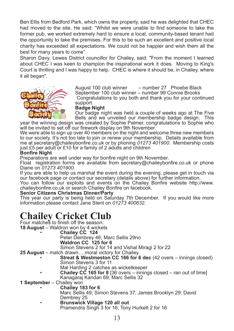Ben Ellis from Bedford Park, which owns the property, said he was delighted that CHEC had moved to the site. He said: "Whilst we were unable to find someone to take the former pub, we worked extremely hard to ensure a local, community-based tenant had the opportunity to take the premises. For this to be such an excellent and positive local charity has exceeded all expectations. We could not be happier and wish them all the best for many years to come"

Sharon Davy, Lewes District councillor for Chailey, said: "From the moment I learned about CHEC I was keen to champion the inspirational work it does. Moving to King's Court is thrilling and I was happy to help. CHEC is where it should be, in Chailey, where it all began".



August 100 club winner – number 27 Phoebe Black September 100 club winner – number 99 Connie Brooks Congratulations to you both and thank you for your continued support.

#### **Badge Night**

Our badge night was held a couple of weeks ago at The Five Bells and we unveiled our membership badge design. This

year the winning design was created by Sophie Palmer, congratulations to Sophie who will be invited to set off our firework display on 9th November.

We were able to sign up over 40 members on the night and welcome three new members to our society. It's not too late to join or renew your membership. Details available from me at secretary@chaileybonfire.co.uk or by phoning *01273 401900*. Membership costs just £5 per adult or £10 for a family of 2 adults and children

#### **Bonfire Night**

Preparations are well under way for bonfire night on 9th November.

Float registration forms are available from secretary@chaileybonfire.co.uk or phone Diane on *01273 401900.*

If you are able to help us marshal the event during the evening, please get in touch via our facebook page or contact our secretary (details above) for further information.

You can follow our exploits and events on the Chailey Bonfire website http://www. chaileybonfire.co.uk or search Chailey Bonfire on facebook.

#### **Senior Citizens Christmas Dinner/Party**

This year our party is being held on Saturday 7th December. If you would like more information please contact Jane Stent on *01273 400632.*

## **Chailey Cricket Club**

Four matches to finish off the season: **18 August** – Waldron won by 4 wickets

- **Chailey CC 124**
	-

Peter Dembrey 46; Marc Sellis 29no **Waldron CC 125 for 6**

Simon Stevens 2 for 14 and Vishal Miragi 2 for 22

- **25 August** match drawn….moral victory for Chailey.
	- **Streat & Westmeston CC 166 for 6 dec** (42 overs innings closed) Simon Stevens 3 for 11
		- Mal Harding 2 catches as wicketkeeper
	- **Chailey CC 165 for 8** [36 overs innings closed ran out of time] Kanagaraj Kandan 69; Marc Sellis 32
- **1 September** Chailey won
	- **Chailey 183 for 6**
		- Marc Sellis 49; Simon Stevens 37; James Brooklyn 29; David
		- **Brunswick Village 120 all out** Pramendra Singh 3 for 16; Tony Hurkett 2 for 16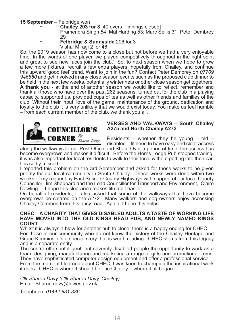**<sup>15</sup> September** – Felbridge won • **Chailey <sup>203</sup> for <sup>8</sup>** [40 overs – innings closed]

Pramendra Singh 54; Mal Harding 53; Marc Sellis 31; Peter Dembrey

<sup>29</sup> • **Felbridge & Sunnyside** 206 for 3

Vishal Miragi 2 for 46

So, the 2019 season has now come to a close but not before we had a very enjoyable time. In the words of one player 'we played competitively throughout in the right spirit and great to see new faces join the club.'. So, to next season when we hope to grow a few more fixtures, recruit a few extra players, hopefully from Chailey, and continue this upward 'good feel' trend. Want to join in the fun? Contact Peter Dembrey on *07709 946880* and get involved in any close season events such as the proposed club dinner to be held in the next few weeks, potentially winter nets or other close season get togethers. **A thank you** - at the end of another season we would like to reflect, remember and thank all those who have over the past 262 seasons, turned out for the club in a playing capacity, supported us, provided cups of tea as well as other friends and families of the club. Without their input, love of the game, maintenance of the ground, dedication and loyalty to the club it is very unlikely that we would exist today. You make us feel humble – from each current member of the club, we thank you all.



#### **VERGES AND WALKWAYS – South Chailey A275 and North Chailey A272**

Residents – whether they be young – old – disabled – fit need to have easy and clear access

along the walkways to our Post Office and Shop. Over a period of time, the access has become overgrown and makes it difficult. Before the Horns Lodge Pub stopped trading, it was also important for local residents to walk to their local without getting into their car. It is sadly missed.

I reported this problem on the 3rd September and asked for these works to be given priority for our local community in South Chailey. These works were done within two weeks of my request by East Sussex County Highways with support of our local County Councillor, Jim Sheppard and the Lead Councillor for Transport and Environment, Claire Dowling. I hope this clearance makes life a bit easier.

On behalf of residents, I also asked that some of the walkways that have become overgrown be cleared on the A272. Many walkers and dog owners enjoy accessing Chailey Common from this busy road. Again, I hope this helps.

#### **CHEC – A CHARITY THAT GIVES DISABLED ADULTS A TASTE OF WORKING LIFE HAVE MOVED INTO THE OLD KINGS HEAD PUB, AND NEWLY NAMED KINGS COURT**

Whilst it is always a blow for another pub to close, there is a happy ending for CHEC. For those in our community who do not know the history of the Chailey Heritage and Grace Kimmins, it's a special story that is worth reading. CHEC stems from this legacy and is a separate entity.

The centre offers intelligent, but severely disabled people the opportunity to work as a team, designing, manufacturing and marketing a range of gifts and promotional items. They have sophisticated computer design equipment and offer a professional service. From the moment I learned about CHEC, I was keen to champion the inspirational work

it does. CHEC is where it should be – in Chailey – where it all began.

*Cllr Sharon Davy (Cllr Sharon Davy, Chailey)* Email: Sharon.davy@lewes.gov.uk

Telephone: *01444 831 336*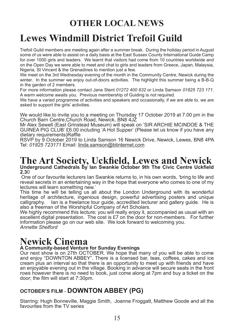## **OTHER LOCAL NEWS**

# **Lewes Windmill District Trefoil Guild**

Trefoil Guild members are meeting again after a summer break. During the holiday period in August some of us were able to assist on a daily basis at the East Sussex County International Guide Camp for over 1000 girls and leaders. We learnt that visitors had come from 10 countries worldwide and on the Open Day we were able to meet and chat to girls and leaders from Greece, Japan, Malaysia, Nigeria, St Vincent & the Grenadines to mention just a few.

We meet on the 3rd Wednesday evening of the month in the Community Centre, Newick during the winter. In the summer we enjoy out-of-doors activities. The highlight this summer being a B-B-Q in the garden of 2 members.

For more information please contact Jane Stent *01272 400 632* or Linda Samson *01825 723 171.*  A warm welcome awaits you. Previous membership of Guiding is not required.

We have a varied programme of activities and speakers and occasionally, if we are able to, we are asked to support the girls' activities.

We would like to invite you to a meeting on Thursday 17 October 2019 at 7.00 pm in the Church Barn Centre,Church Road, Newick, BN8 4JZ

Mr Alex Sewell (East Grinstead Museum) will speak on 'SIR ARCHIE MCINDOE & THE GUINEA PIG CLUB' £6.00 including 'A Hot Supper' (Please let us know if you have any dietary requirements)Raffle

RSVP by 9 October 2019 to Linda Samson 16 Newick Drive, Newick, Lewes, BN8 4PA Tel: *01825 723171* Email: linda.samson@btinternet.com

## **The Art Society, Uckfield, Lewes and Newick Underground Cathedrals by Ian Swankie October 9th The Civic Centre Uckfield 2.3**0

 One of our favourite lecturers Ian Swankie returns to, in his own words, 'bring to life and reveal secrets in an entertaining way in the hope that everyone who comes to one of my lectures will learn something new.'

This time he will be telling us all about the London Underground with its wonderful heritage of architecture, ingenious design, powerful advertising posters and unique calligraphy. Ian is a freelance tour guide, accredited lecturer and gallery guide. He is lan is a freelance tour guide, accredited lecturer and gallery guide. He is also a freeman of the Worshipful Company of Art Scholars.

We highly recommend this lecture; you will really enjoy it, accompanied as usual with an excellent digital presentation. The cost is £7 on the door for non-members. For further information please go on our web site. We look forward to welcoming you. *Annette Shelford*

# **Newick Cinema**

## **A Community-based Venture for Sunday Evenings**

Our next show is on 27th OCTOBER. We hope that many of you will be able to come and enjoy "DOWNTON ABBEY". There is a licensed bar, teas, coffees, cakes and ice cream plus an interval so that there is an opportunity to meet up with friends and have an enjoyable evening out in the village. Booking in advance will secure seats in the front rows however there is no need to book, just come along at 7pm and buy a ticket on the door; the film will start at 7:30pm.

## **OCTOBER'S FILM** - **DOWNTON ABBEY (PG)**

Starring: Hugh Bonneville, Maggie Smith, Joanne Froggatt, Matthew Goode and all the favourites from the TV series